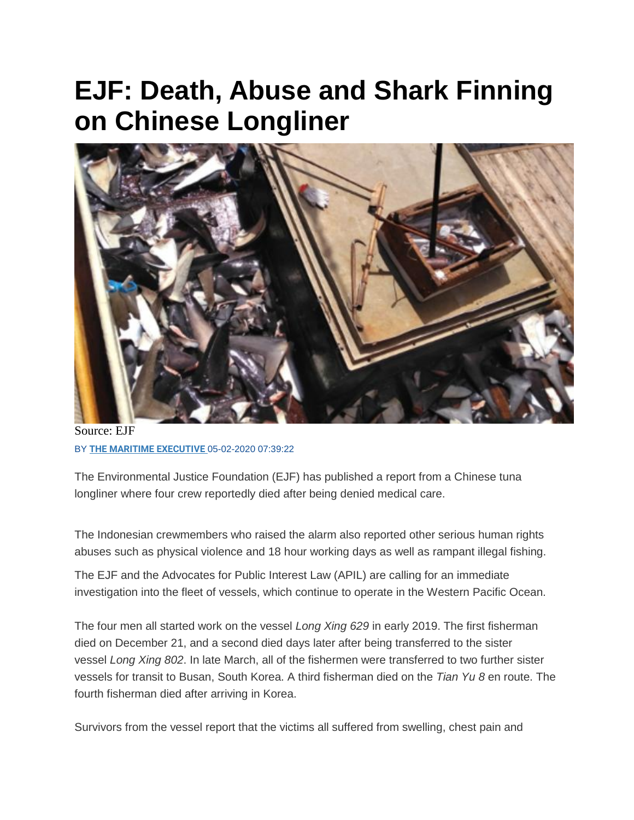## **EJF: Death, Abuse and Shark Finning on Chinese Longliner**



Source: EJF BY **[THE MARITIME EXECUTIVE](https://www.maritime-executive.com/author/marex)** 05-02-2020 07:39:22

The Environmental Justice Foundation (EJF) has published a report from a Chinese tuna longliner where four crew reportedly died after being denied medical care.

The Indonesian crewmembers who raised the alarm also reported other serious human rights abuses such as physical violence and 18 hour working days as well as rampant illegal fishing.

The EJF and the Advocates for Public Interest Law (APIL) are calling for an immediate investigation into the fleet of vessels, which continue to operate in the Western Pacific Ocean.

The four men all started work on the vessel *Long Xing 629* in early 2019. The first fisherman died on December 21, and a second died days later after being transferred to the sister vessel *Long Xing 802*. In late March, all of the fishermen were transferred to two further sister vessels for transit to Busan, South Korea. A third fisherman died on the *Tian Yu 8* en route. The fourth fisherman died after arriving in Korea.

Survivors from the vessel report that the victims all suffered from swelling, chest pain and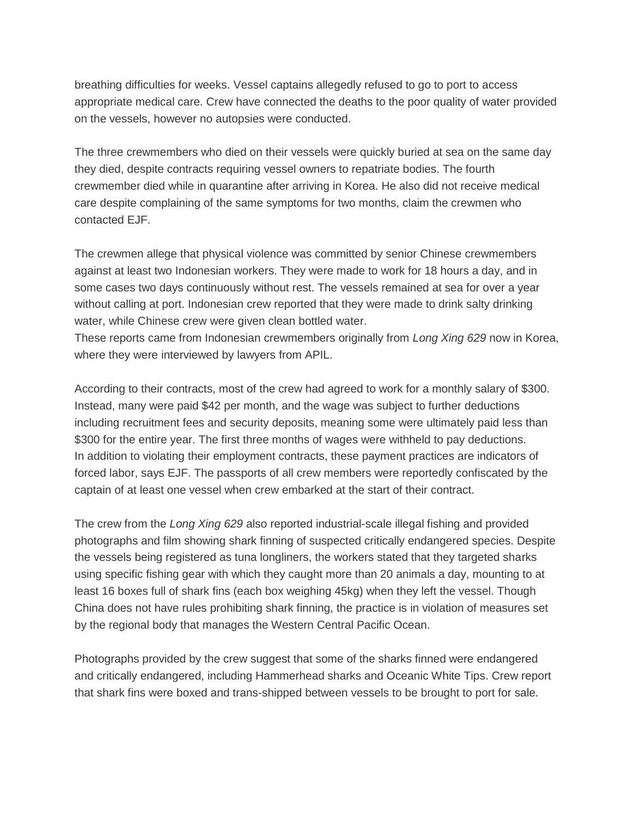breathing difficulties for weeks. Vessel captains allegedly refused to go to port to access appropriate medical care. Crew have connected the deaths to the poor quality of water provided on the vessels, however no autopsies were conducted.

The three crewmembers who died on their vessels were quickly buried at sea on the same day they died, despite contracts requiring vessel owners to repatriate bodies. The fourth crewmember died while in quarantine after arriving in Korea. He also did not receive medical care despite complaining of the same symptoms for two months, claim the crewmen who contacted EJF.

The crewmen allege that physical violence was committed by senior Chinese crewmembers against at least two Indonesian workers. They were made to work for 18 hours a day, and in some cases two days continuously without rest. The vessels remained at sea for over a year without calling at port. Indonesian crew reported that they were made to drink salty drinking water, while Chinese crew were given clean bottled water.

These reports came from Indonesian crewmembers originally from *Long Xing 629* now in Korea, where they were interviewed by lawyers from APIL.

According to their contracts, most of the crew had agreed to work for a monthly salary of \$300. Instead, many were paid \$42 per month, and the wage was subject to further deductions including recruitment fees and security deposits, meaning some were ultimately paid less than \$300 for the entire year. The first three months of wages were withheld to pay deductions. In addition to violating their employment contracts, these payment practices are indicators of forced labor, says EJF. The passports of all crew members were reportedly confiscated by the captain of at least one vessel when crew embarked at the start of their contract.

The crew from the *Long Xing 629* also reported industrial-scale illegal fishing and provided photographs and film showing shark finning of suspected critically endangered species. Despite the vessels being registered as tuna longliners, the workers stated that they targeted sharks using specific fishing gear with which they caught more than 20 animals a day, mounting to at least 16 boxes full of shark fins (each box weighing 45kg) when they left the vessel. Though China does not have rules prohibiting shark finning, the practice is in violation of measures set by the regional body that manages the Western Central Pacific Ocean.

Photographs provided by the crew suggest that some of the sharks finned were endangered and critically endangered, including Hammerhead sharks and Oceanic White Tips. Crew report that shark fins were boxed and trans-shipped between vessels to be brought to port for sale.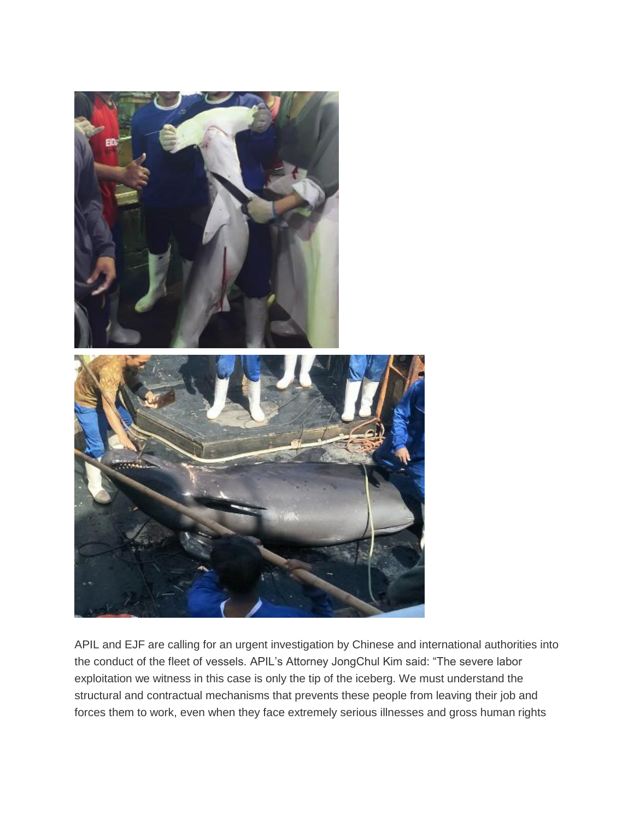

APIL and EJF are calling for an urgent investigation by Chinese and international authorities into the conduct of the fleet of vessels. APIL's Attorney JongChul Kim said: "The severe labor exploitation we witness in this case is only the tip of the iceberg. We must understand the structural and contractual mechanisms that prevents these people from leaving their job and forces them to work, even when they face extremely serious illnesses and gross human rights